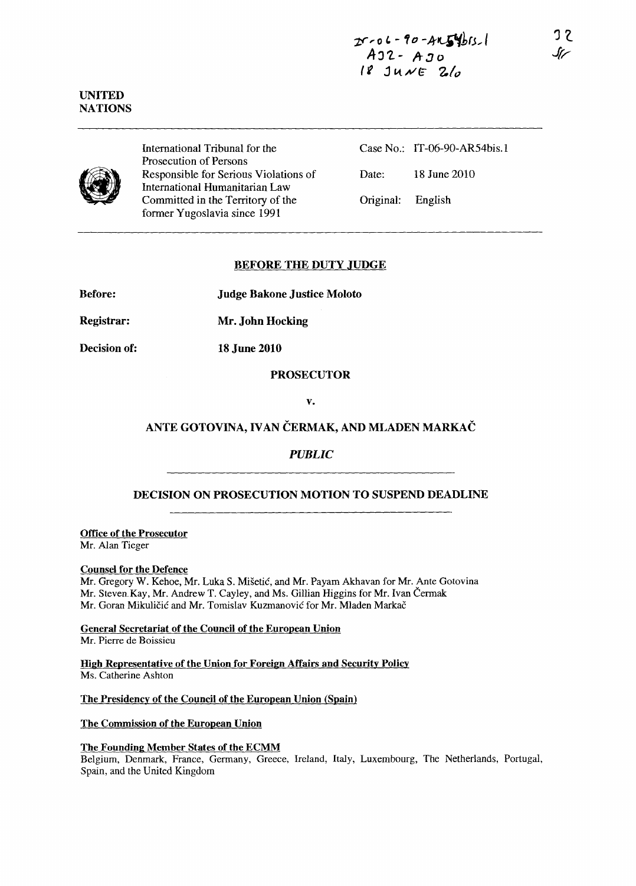

UNITED NATIONS

> International Tribunal for the Prosecution of Persons Responsible for Serious Violations of International Humanitarian Law Committed in the Territory of the former Yugoslavia since 1991

Case No.: IT -06-90-ARS4bis.l Date: 18 June 2010 Original: English

# BEFORE THE DUTY JUDGE

Before: Judge Bakone Justice Moloto

Registrar: Mr. John Hocking

Decision of: 18 June 2010

### PROSECUTOR

v.

# ANTE GOTOVINA, IVAN ČERMAK, AND MLADEN MARKAČ

*PUBLIC* 

# DECISION ON PROSECUTION MOTION TO SUSPEND DEADLINE

Office of the Prosecutor Mr. AIan Tieger

#### Counsel for the Defence

Mr. Gregory W. Kehoe, Mr. Luka S. Misetic, and Mr. Payam Akhavan for Mr. Ante Gotovina Mr. Steven Kay, Mr. Andrew T. Cayley, and Ms. Gillian Higgins for Mr. Ivan Čermak Mr. Goran Mikuličić and Mr. Tomislav Kuzmanović for Mr. Mladen Markač

General Secretariat of the Council of the European Union Mr. Pierre de Boissieu

High Representative of the Union for Foreign Affairs and Security Policy Ms. Catherine Ashton

The Presidency of the Council of the European Union (Spain)

The Commission of the European Union

# The Founding Member States of the ECMM

Belgium, Denmark, France, Germany, Greece, Ireland, Italy, Luxembourg, The Netherlands, Portugal, Spain, and the United Kingdom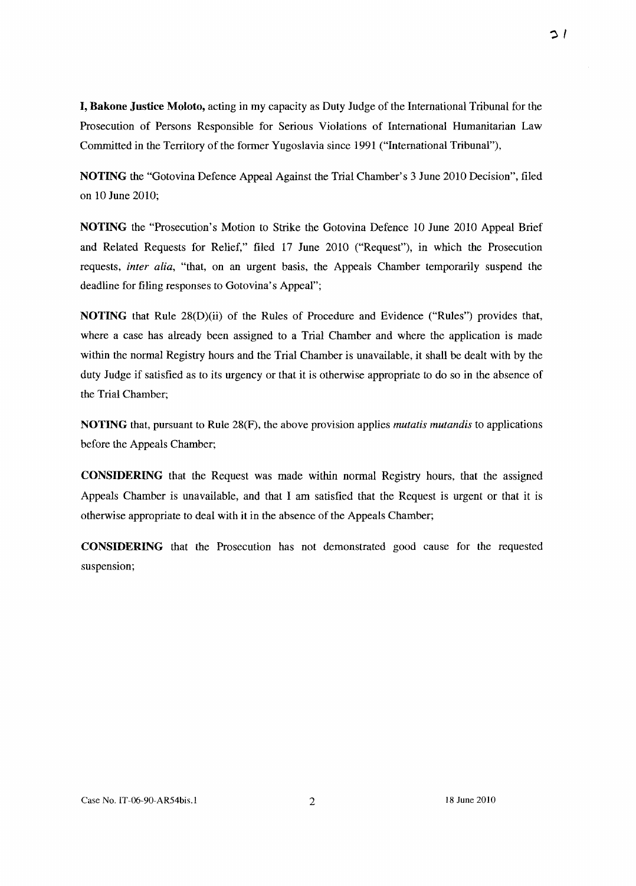$\supset$  /

**I, Bakone Justice Moloto,** acting in my capacity as Duty Judge of the International Tribunal for the Prosecution of Persons Responsible for Serious Violations of International Humanitarian Law Committed in the Territory of the former Yugoslavia since 1991 ("International Tribunal"),

**NOTING** the "Gotovina Defence Appeal Against the Trial Chamber's 3 June 2010 Decision", filed on 10 June 2010;

**NOTING** the "Prosecution's Motion to Strike the Gotovina Defence 10 June 2010 Appeal Brief and Related Requests for Relief," filed 17 June 2010 ("Request"), in which the Prosecution requests, *inter alia,* "that, on an urgent basis, the Appeals Chamber temporarily suspend the deadline for filing responses to Gotovina's Appeal";

**NOTING** that Rule 28(D)(ii) of the Rules of Procedure and Evidence ("Rules") provides that, where a case has already been assigned to a Trial Chamber and where the application is made within the normal Registry hours and the Trial Chamber is unavailable, it shall be dealt with by the duty Judge if satisfied as to its urgency or that it is otherwise appropriate to do so in the absence of the Trial Chamber;

**NOTING** that, pursuant to Rule 28(F), the above provision applies *mutatis mutandis* to applications before the Appeals Chamber;

**CONSIDERING** that the Request was made within normal Registry hours, that the assigned Appeals Chamber is unavailable, and that I am satisfied that the Request is urgent or that it is otherwise appropriate to deal with it in the absence of the Appeals Chamber;

**CONSIDERING** that the Prosecution has not demonstrated good cause for the requested suspension;